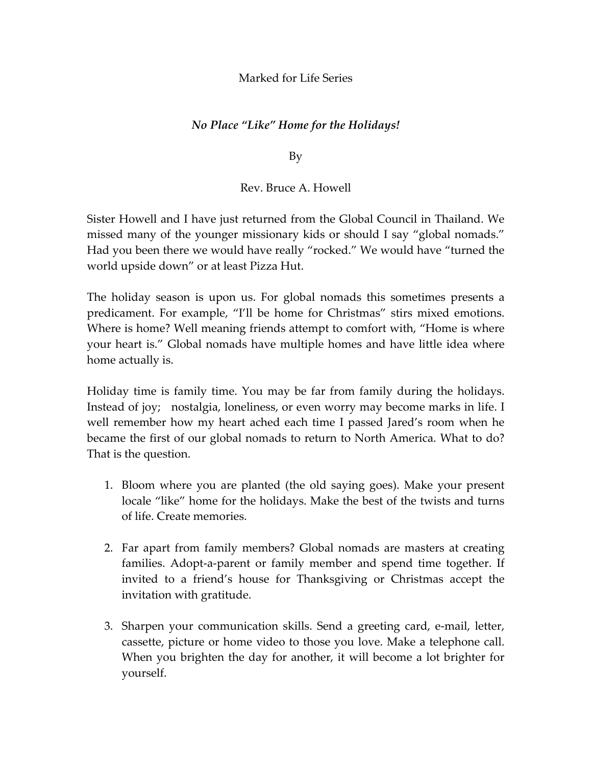## Marked for Life Series

## *No Place "Like" Home for the Holidays!*

By

## Rev. Bruce A. Howell

Sister Howell and I have just returned from the Global Council in Thailand. We missed many of the younger missionary kids or should I say "global nomads." Had you been there we would have really "rocked." We would have "turned the world upside down" or at least Pizza Hut.

The holiday season is upon us. For global nomads this sometimes presents a predicament. For example, "I'll be home for Christmas" stirs mixed emotions. Where is home? Well meaning friends attempt to comfort with, "Home is where your heart is." Global nomads have multiple homes and have little idea where home actually is.

Holiday time is family time. You may be far from family during the holidays. Instead of joy; nostalgia, loneliness, or even worry may become marks in life. I well remember how my heart ached each time I passed Jared's room when he became the first of our global nomads to return to North America. What to do? That is the question.

- 1. Bloom where you are planted (the old saying goes). Make your present locale "like" home for the holidays. Make the best of the twists and turns of life. Create memories.
- 2. Far apart from family members? Global nomads are masters at creating families. Adopt-a-parent or family member and spend time together. If invited to a friend's house for Thanksgiving or Christmas accept the invitation with gratitude.
- 3. Sharpen your communication skills. Send a greeting card, e‐mail, letter, cassette, picture or home video to those you love. Make a telephone call. When you brighten the day for another, it will become a lot brighter for yourself.